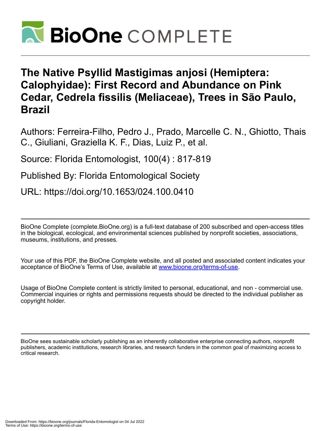

## **The Native Psyllid Mastigimas anjosi (Hemiptera: Calophyidae): First Record and Abundance on Pink Cedar, Cedrela fissilis (Meliaceae), Trees in São Paulo, Brazil**

Authors: Ferreira-Filho, Pedro J., Prado, Marcelle C. N., Ghiotto, Thais C., Giuliani, Graziella K. F., Dias, Luiz P., et al.

Source: Florida Entomologist, 100(4) : 817-819

Published By: Florida Entomological Society

URL: https://doi.org/10.1653/024.100.0410

BioOne Complete (complete.BioOne.org) is a full-text database of 200 subscribed and open-access titles in the biological, ecological, and environmental sciences published by nonprofit societies, associations, museums, institutions, and presses.

Your use of this PDF, the BioOne Complete website, and all posted and associated content indicates your acceptance of BioOne's Terms of Use, available at www.bioone.org/terms-of-use.

Usage of BioOne Complete content is strictly limited to personal, educational, and non - commercial use. Commercial inquiries or rights and permissions requests should be directed to the individual publisher as copyright holder.

BioOne sees sustainable scholarly publishing as an inherently collaborative enterprise connecting authors, nonprofit publishers, academic institutions, research libraries, and research funders in the common goal of maximizing access to critical research.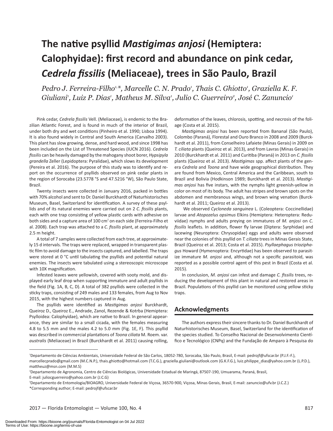# **The native psyllid** *Mastigimas anjosi* **(Hemiptera: Calophyidae): first record and abundance on pink cedar,**  *Cedrela fissilis* **(Meliaceae), trees in São Paulo, Brazil**

Pedro J. Ferreira-Filho<sup>1,</sup>\*, Marcelle C. N. Prado<sup>1</sup>, Thais C. Ghiotto<sup>1</sup>, Graziella K. F. Giuliani<sup>,</sup> Luiz P. Dias<sup>,</sup> Matheus M. Silva<sup>,</sup> Julio C. Guerreiro<sup>2</sup>, José C. Zanuncio<sup>,</sup>

Pink cedar, *Cedrela fissilis* Vell. (Meliaceae), is endemic to the Brazilian Atlantic Forest, and is found in much of the interior of Brazil, under both dry and wet conditions (Pinheiro et al. 1990; Lisboa 1994). It is also found widely in Central and South America (Carvalho 2003). This plant has slow growing, dense, and hard wood, and since 1998 has been included on the List of Threatened Species (IUCN 2016). *Cedrela fissilis* can be heavily damaged by the mahogany shoot borer, *Hypsipyla grandella* Zeller (Lepidoptera: Pyralidae), which slows its development (Pereira et al. 2016). The purpose of this study was to identify and report on the occurrence of psyllids observed on pink cedar plants in the region of Sorocaba (23.5778 °S and 47.5216 °W), São Paulo State, Brazil.

Twenty insects were collected in January 2016, packed in bottles with 70% alcohol and sent to Dr. Daniel Burckhardt of Naturhistorisches Museum, Basel, Switzerland for identification. A survey of these psyllids and of its natural enemies were carried out on 2 *C. fissilis* plants, each with one trap consisting of yellow plastic cards with adhesive on both sides and a capture area of 100 cm<sup>2</sup> on each side (Ferreira-Filho et al. 2008). Each trap was attached to a *C. fissilis* plant, at approximately 2.5 m height.

A total of 7 samples were collected from each tree, at approximately 15 d intervals. The traps were replaced, wrapped in transparent plastic film to avoid damage to the insects captured, and labelled. The traps were stored at 0 °C until tabulating the psyllids and potential natural enemies. The insects were tabulated using a stereoscopic microscope with 10X magnification.

Infested leaves were yellowish, covered with sooty mold, and displayed early leaf drop when supporting immature and adult psyllids in the field (Fig. 1A, B, C, D). A total of 382 psyllids were collected in the sticky traps, consisting of 249 males and 133 females, from Aug to Nov 2015, with the highest numbers captured in Aug.

The psyllids were identified as *Mastigimas anjosi* Burckhardt, Queiroz D., Queiroz E., Andrade, Zanol, Rezende & Kotrba (Hemiptera: Psylloidea: Calophyidae), which are native to Brazil. In general appearance, they are similar to a small cicada, with the females measuring 4.8 to 5.5 mm and the males 4.2 to 5.0 mm (Fig. 1E, F). This psyllid was described in commercial plantations of *Toona ciliata* M. Roem. var. *australis* (Meliaceae) in Brazil (Burckhardt et al. 2011) causing rolling,

deformation of the leaves, chlorosis, spotting, and necrosis of the foliage (Costa et al. 2015).

*Mastigimas anjosi* has been reported from Bananal (São Paulo), Colombo (Paraná), Florestal and Ouro Branco in 2008 and 2009 (Burckhardt et al. 2011), from Conselheiro Lafaiete (Minas Gerais) in 2009 on *T. ciliata* plants (Queiroz et al. 2013), and from Lavras (Minas Gerais) in 2010 (Burckhardt et al. 2011) and Curitiba (Paraná) in 2013 on *C. fissilis* plants (Queiroz et al. 2013). *Mastigimas* spp. affect plants of the genera *Cedrela* and *Toona* and have wide geographical distribution. They are found from Mexico, Central America and the Caribbean, south to Brazil and Bolivia (Hodkinson 1989; Burckhardt et al. 2013). *Mastigimas anjosi* has five instars, with the nymphs light greenish-yellow in color on most of its body. The adult has stripes and brown spots on the abdomen and membranous wings, and brown wing venation (Burckhardt et al. 2011; Queiroz et al. 2013).

 We observed *Cycloneda sanguinea* L. (Coleoptera: Coccinellidae) larvae and *Atopozelus opsimus* Elkins (Hemiptera: Heteroptera: Reduviidae) nymphs and adults preying on immatures of *M. anjosi* on *C. fissilis* leaflets. In addition, flower fly larvae (Diptera: Syrphidae) and lacewing (Neuroptera: Chrysopidae) eggs and adults were observed near the colonies of this psyllid on *T. ciliata* trees in Minas Gerais State, Brazil (Queiroz et al. 2013; Costa et al. 2015). *Psyllaephagus trioziphagus* Howard (Hymenoptera: Encyrtidae) has been observed to parasitize immature *M. anjosi* and, although not a specific parasitoid, was reported as a possible control agent of this pest in Brazil (Costa et al. 2015).

In conclusion, *M. anjosi* can infest and damage *C. fissilis* trees, reducing the development of this plant in natural and restored areas in Brazil. Populations of this psyllid can be monitored using yellow sticky traps.

## **Acknowledgments**

The authors express their sincere thanks to Dr. Daniel Burckhardt of Naturhistorisches Museum, Basel, Switzerland for the identification of the species studied. To Conselho Nacional de Desenvolvimento Científico e Tecnológico (CNPq) and the Fundação de Amparo à Pesquisa do

<sup>1</sup> Departamento de Ciências Ambientais, Universidade Federal de São Carlos, 18052-780, Sorocaba, São Paulo, Brasil, E-mail: pedrojf@ufscar.br (P.J.F.-F.),

marcellecprado@gmail.com (M.C.N.P.), thais.ghiotto@hotmail.com (T.C.G.), graziella.giuliani@outlook.com (G.K.F.G.), luiz.philippe\_dias@yahoo.com.br (L.P.D.), mattheuz@msn.com (M.M.S)

<sup>2</sup> Departamento de Agronomia, Centro de Ciências Biológicas, Universidade Estadual de Maringá, 87507-190, Umuarama, Paraná, Brasil, E-mail: juliocguerreiro@yahoo.com.br (J.C.G)

<sup>3</sup> Departamento de Entomologia/BIOAGRO, Universidade Federal de Viçosa, 36570-900, Viçosa, Minas Gerais, Brasil, E-mail: zanuncio@ufv.br (J.C.Z.) \*Corresponding author; E-mail: pedrojf@ufscar.br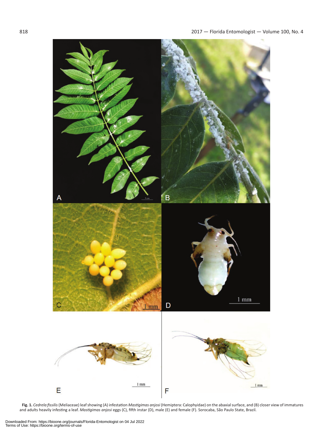

**Fig. 1.** *Cedrela fissilis* (Meliaceae) leaf showing (A) infestation *Mastigimas anjosi* (Hemiptera: Calophyidae) on the abaxial surface, and (B) closer view of immatures and adults heavily infesting a leaf. *Mastigimas anjosi* eggs (C), fifth instar (D), male (E) and female (F). Sorocaba, São Paulo State, Brazil.